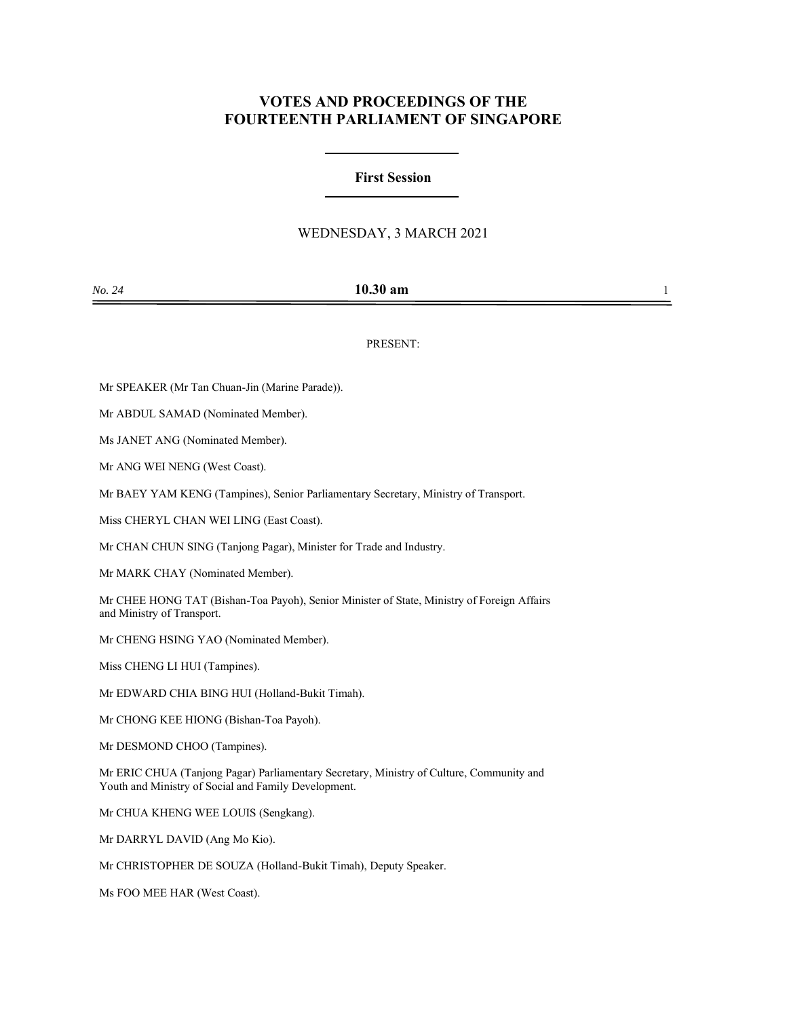# **VOTES AND PROCEEDINGS OF THE FOURTEENTH PARLIAMENT OF SINGAPORE**

### **First Session**

## WEDNESDAY, 3 MARCH 2021

| No. 24 | $10.30$ am |  |
|--------|------------|--|
|        |            |  |

PRESENT:

Mr SPEAKER (Mr Tan Chuan-Jin (Marine Parade)).

Mr ABDUL SAMAD (Nominated Member).

Ms JANET ANG (Nominated Member).

Mr ANG WEI NENG (West Coast).

Mr BAEY YAM KENG (Tampines), Senior Parliamentary Secretary, Ministry of Transport.

Miss CHERYL CHAN WEI LING (East Coast).

Mr CHAN CHUN SING (Tanjong Pagar), Minister for Trade and Industry.

Mr MARK CHAY (Nominated Member).

Mr CHEE HONG TAT (Bishan-Toa Payoh), Senior Minister of State, Ministry of Foreign Affairs and Ministry of Transport.

Mr CHENG HSING YAO (Nominated Member).

Miss CHENG LI HUI (Tampines).

Mr EDWARD CHIA BING HUI (Holland-Bukit Timah).

Mr CHONG KEE HIONG (Bishan-Toa Payoh).

Mr DESMOND CHOO (Tampines).

Mr ERIC CHUA (Tanjong Pagar) Parliamentary Secretary, Ministry of Culture, Community and Youth and Ministry of Social and Family Development.

Mr CHUA KHENG WEE LOUIS (Sengkang).

Mr DARRYL DAVID (Ang Mo Kio).

Mr CHRISTOPHER DE SOUZA (Holland-Bukit Timah), Deputy Speaker.

Ms FOO MEE HAR (West Coast).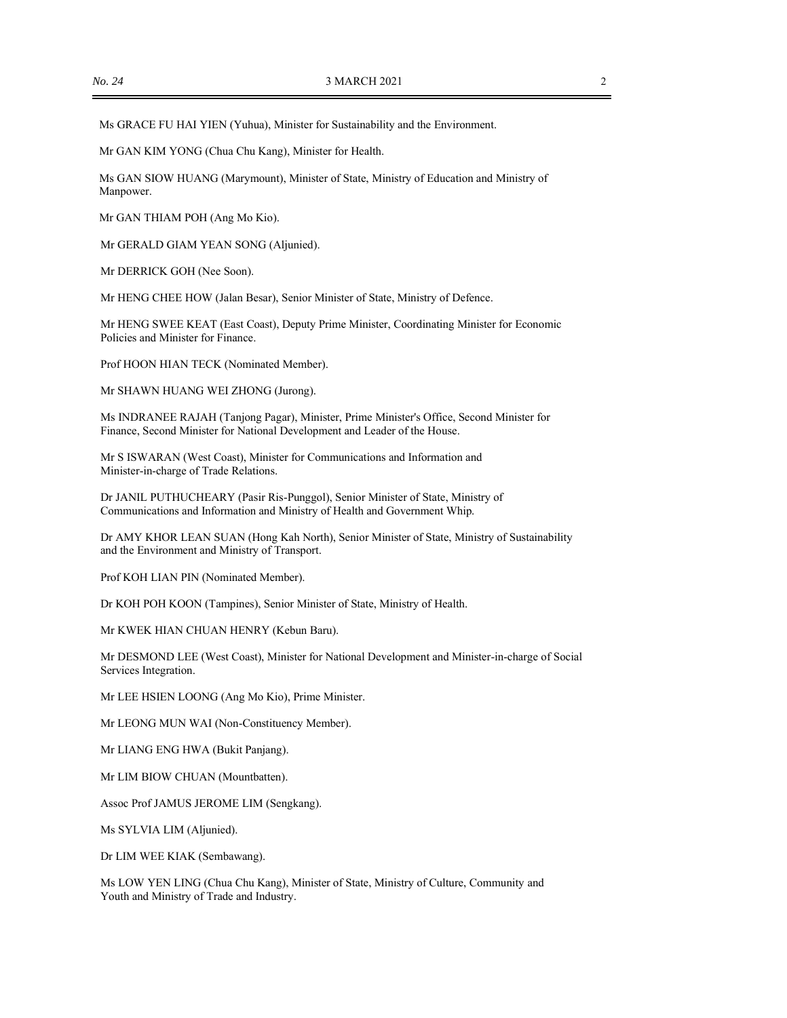Ms GRACE FU HAI YIEN (Yuhua), Minister for Sustainability and the Environment.

Mr GAN KIM YONG (Chua Chu Kang), Minister for Health.

Ms GAN SIOW HUANG (Marymount), Minister of State, Ministry of Education and Ministry of Manpower.

Mr GAN THIAM POH (Ang Mo Kio).

Mr GERALD GIAM YEAN SONG (Aljunied).

Mr DERRICK GOH (Nee Soon).

Mr HENG CHEE HOW (Jalan Besar), Senior Minister of State, Ministry of Defence.

Mr HENG SWEE KEAT (East Coast), Deputy Prime Minister, Coordinating Minister for Economic Policies and Minister for Finance.

Prof HOON HIAN TECK (Nominated Member).

Mr SHAWN HUANG WEI ZHONG (Jurong).

Ms INDRANEE RAJAH (Tanjong Pagar), Minister, Prime Minister's Office, Second Minister for Finance, Second Minister for National Development and Leader of the House.

Mr S ISWARAN (West Coast), Minister for Communications and Information and Minister-in-charge of Trade Relations.

Dr JANIL PUTHUCHEARY (Pasir Ris-Punggol), Senior Minister of State, Ministry of Communications and Information and Ministry of Health and Government Whip.

Dr AMY KHOR LEAN SUAN (Hong Kah North), Senior Minister of State, Ministry of Sustainability and the Environment and Ministry of Transport.

Prof KOH LIAN PIN (Nominated Member).

Dr KOH POH KOON (Tampines), Senior Minister of State, Ministry of Health.

Mr KWEK HIAN CHUAN HENRY (Kebun Baru).

Mr DESMOND LEE (West Coast), Minister for National Development and Minister-in-charge of Social Services Integration.

Mr LEE HSIEN LOONG (Ang Mo Kio), Prime Minister.

Mr LEONG MUN WAI (Non-Constituency Member).

Mr LIANG ENG HWA (Bukit Panjang).

Mr LIM BIOW CHUAN (Mountbatten).

Assoc Prof JAMUS JEROME LIM (Sengkang).

Ms SYLVIA LIM (Aljunied).

Dr LIM WEE KIAK (Sembawang).

Ms LOW YEN LING (Chua Chu Kang), Minister of State, Ministry of Culture, Community and Youth and Ministry of Trade and Industry.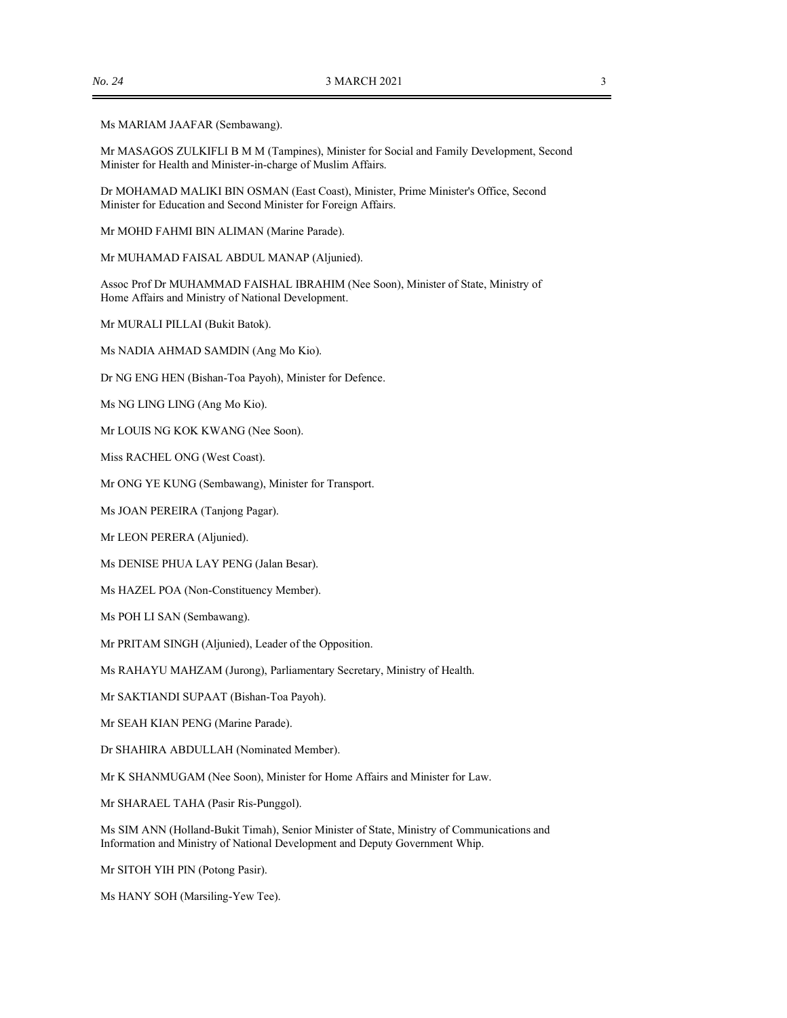#### Ms MARIAM JAAFAR (Sembawang).

Mr MASAGOS ZULKIFLI B M M (Tampines), Minister for Social and Family Development, Second Minister for Health and Minister-in-charge of Muslim Affairs.

Dr MOHAMAD MALIKI BIN OSMAN (East Coast), Minister, Prime Minister's Office, Second Minister for Education and Second Minister for Foreign Affairs.

Mr MOHD FAHMI BIN ALIMAN (Marine Parade).

Mr MUHAMAD FAISAL ABDUL MANAP (Aljunied).

Assoc Prof Dr MUHAMMAD FAISHAL IBRAHIM (Nee Soon), Minister of State, Ministry of Home Affairs and Ministry of National Development.

Mr MURALI PILLAI (Bukit Batok).

Ms NADIA AHMAD SAMDIN (Ang Mo Kio).

Dr NG ENG HEN (Bishan-Toa Payoh), Minister for Defence.

Ms NG LING LING (Ang Mo Kio).

Mr LOUIS NG KOK KWANG (Nee Soon).

Miss RACHEL ONG (West Coast).

Mr ONG YE KUNG (Sembawang), Minister for Transport.

Ms JOAN PEREIRA (Tanjong Pagar).

Mr LEON PERERA (Aljunied).

Ms DENISE PHUA LAY PENG (Jalan Besar).

Ms HAZEL POA (Non-Constituency Member).

Ms POH LI SAN (Sembawang).

Mr PRITAM SINGH (Aljunied), Leader of the Opposition.

Ms RAHAYU MAHZAM (Jurong), Parliamentary Secretary, Ministry of Health.

Mr SAKTIANDI SUPAAT (Bishan-Toa Payoh).

Mr SEAH KIAN PENG (Marine Parade).

Dr SHAHIRA ABDULLAH (Nominated Member).

Mr K SHANMUGAM (Nee Soon), Minister for Home Affairs and Minister for Law.

Mr SHARAEL TAHA (Pasir Ris-Punggol).

Ms SIM ANN (Holland-Bukit Timah), Senior Minister of State, Ministry of Communications and Information and Ministry of National Development and Deputy Government Whip.

Mr SITOH YIH PIN (Potong Pasir).

Ms HANY SOH (Marsiling-Yew Tee).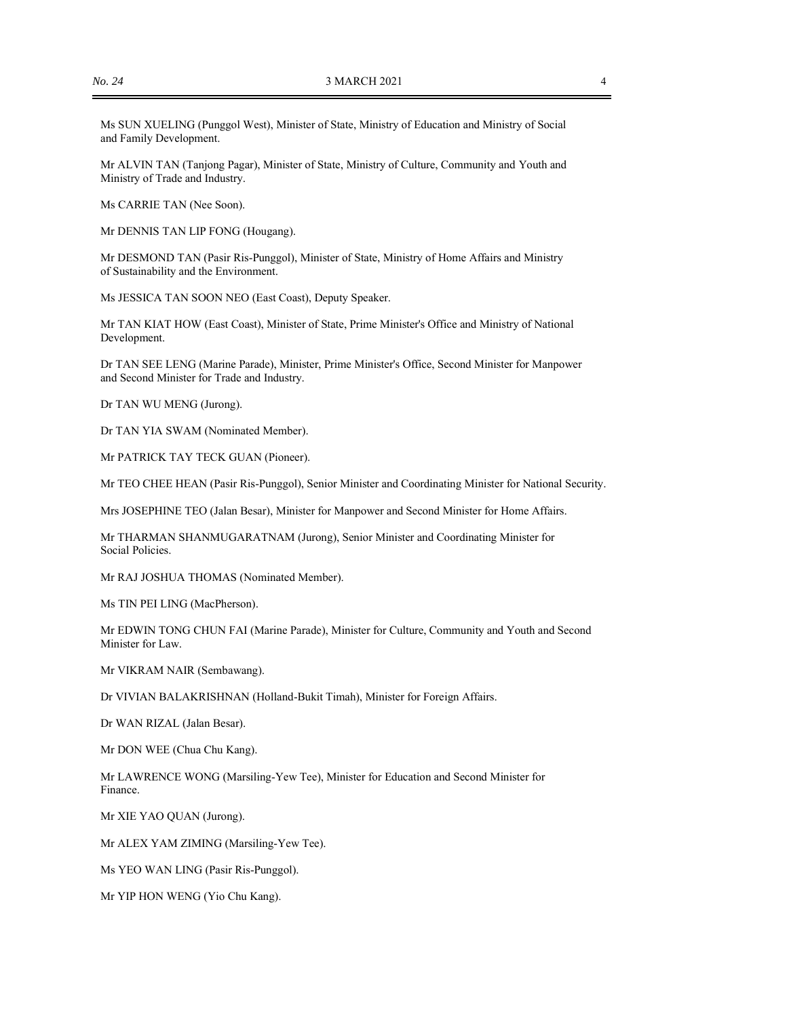Ms SUN XUELING (Punggol West), Minister of State, Ministry of Education and Ministry of Social and Family Development.

Mr ALVIN TAN (Tanjong Pagar), Minister of State, Ministry of Culture, Community and Youth and Ministry of Trade and Industry.

Ms CARRIE TAN (Nee Soon).

Mr DENNIS TAN LIP FONG (Hougang).

Mr DESMOND TAN (Pasir Ris-Punggol), Minister of State, Ministry of Home Affairs and Ministry of Sustainability and the Environment.

Ms JESSICA TAN SOON NEO (East Coast), Deputy Speaker.

Mr TAN KIAT HOW (East Coast), Minister of State, Prime Minister's Office and Ministry of National Development.

Dr TAN SEE LENG (Marine Parade), Minister, Prime Minister's Office, Second Minister for Manpower and Second Minister for Trade and Industry.

Dr TAN WU MENG (Jurong).

Dr TAN YIA SWAM (Nominated Member).

Mr PATRICK TAY TECK GUAN (Pioneer).

Mr TEO CHEE HEAN (Pasir Ris-Punggol), Senior Minister and Coordinating Minister for National Security.

Mrs JOSEPHINE TEO (Jalan Besar), Minister for Manpower and Second Minister for Home Affairs.

Mr THARMAN SHANMUGARATNAM (Jurong), Senior Minister and Coordinating Minister for Social Policies.

Mr RAJ JOSHUA THOMAS (Nominated Member).

Ms TIN PEI LING (MacPherson).

Mr EDWIN TONG CHUN FAI (Marine Parade), Minister for Culture, Community and Youth and Second Minister for Law.

Mr VIKRAM NAIR (Sembawang).

Dr VIVIAN BALAKRISHNAN (Holland-Bukit Timah), Minister for Foreign Affairs.

Dr WAN RIZAL (Jalan Besar).

Mr DON WEE (Chua Chu Kang).

Mr LAWRENCE WONG (Marsiling-Yew Tee), Minister for Education and Second Minister for Finance.

Mr XIE YAO QUAN (Jurong).

Mr ALEX YAM ZIMING (Marsiling-Yew Tee).

Ms YEO WAN LING (Pasir Ris-Punggol).

Mr YIP HON WENG (Yio Chu Kang).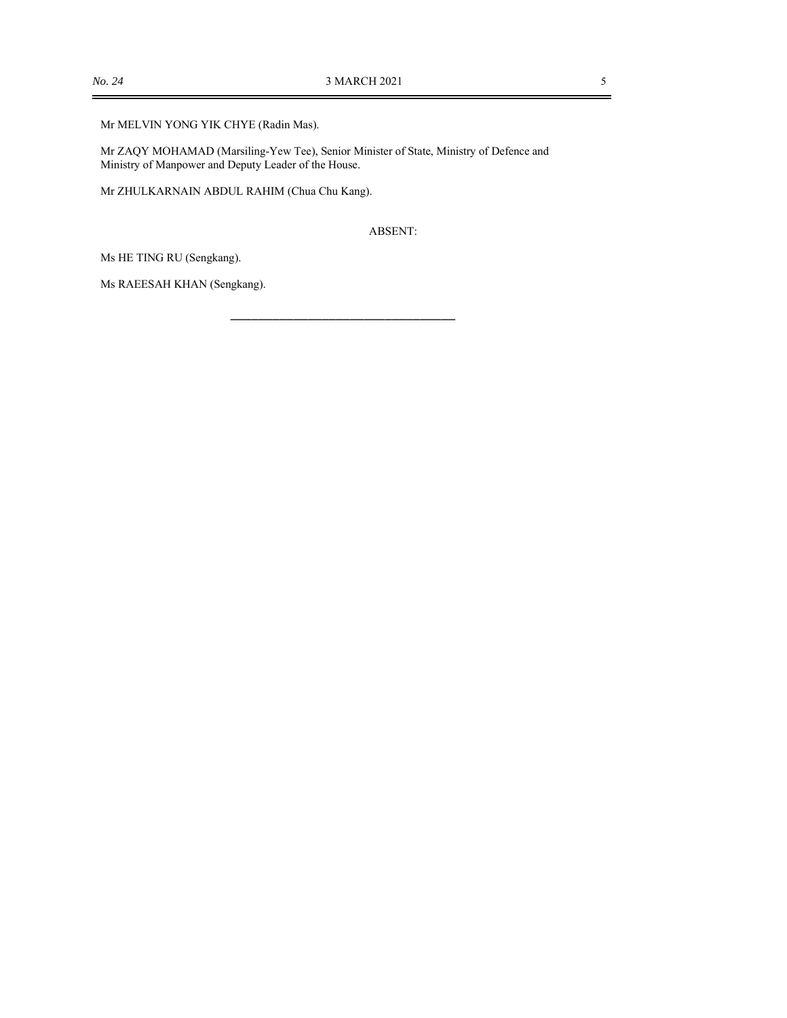Mr MELVIN YONG YIK CHYE (Radin Mas).

Mr ZAQY MOHAMAD (Marsiling-Yew Tee), Senior Minister of State, Ministry of Defence and Ministry of Manpower and Deputy Leader of the House.

Mr ZHULKARNAIN ABDUL RAHIM (Chua Chu Kang).

ABSENT:

\_\_\_\_\_\_\_\_\_\_\_\_\_\_\_\_\_\_\_\_\_\_\_\_\_\_\_\_\_\_\_\_

Ms HE TING RU (Sengkang).

Ms RAEESAH KHAN (Sengkang).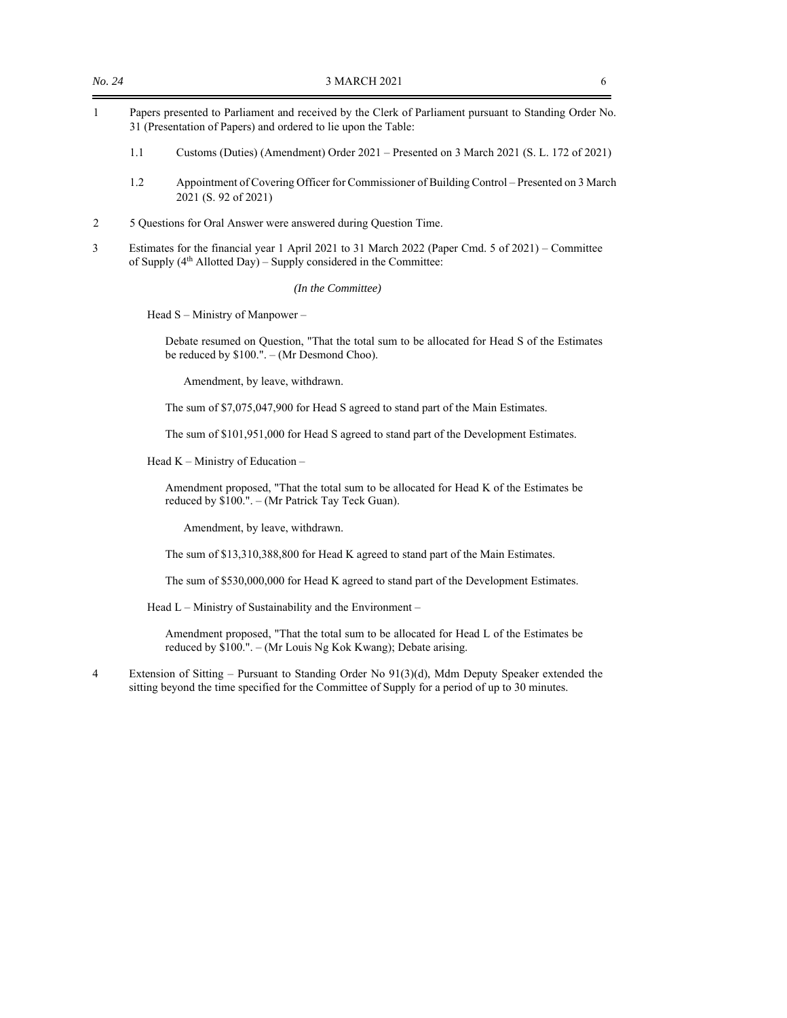- 1 Papers presented to Parliament and received by the Clerk of Parliament pursuant to Standing Order No. 31 (Presentation of Papers) and ordered to lie upon the Table:
	- 1.1 Customs (Duties) (Amendment) Order 2021 Presented on 3 March 2021 (S. L. 172 of 2021)
	- 1.2 Appointment of Covering Officer for Commissioner of Building Control Presented on 3 March 2021 (S. 92 of 2021)
- 2 5 Questions for Oral Answer were answered during Question Time.
- 3 Estimates for the financial year 1 April 2021 to 31 March 2022 (Paper Cmd. 5 of 2021) Committee of Supply  $(4<sup>th</sup>$  Allotted Day) – Supply considered in the Committee:

*(In the Committee)* 

Head S – Ministry of Manpower –

Debate resumed on Question, "That the total sum to be allocated for Head S of the Estimates be reduced by \$100.". – (Mr Desmond Choo).

Amendment, by leave, withdrawn.

The sum of \$7,075,047,900 for Head S agreed to stand part of the Main Estimates.

The sum of \$101,951,000 for Head S agreed to stand part of the Development Estimates.

Head K – Ministry of Education –

Amendment proposed, "That the total sum to be allocated for Head K of the Estimates be reduced by \$100.". – (Mr Patrick Tay Teck Guan).

Amendment, by leave, withdrawn.

The sum of \$13,310,388,800 for Head K agreed to stand part of the Main Estimates.

The sum of \$530,000,000 for Head K agreed to stand part of the Development Estimates.

Head L – Ministry of Sustainability and the Environment –

Amendment proposed, "That the total sum to be allocated for Head L of the Estimates be reduced by \$100.". – (Mr Louis Ng Kok Kwang); Debate arising.

4 Extension of Sitting – Pursuant to Standing Order No 91(3)(d), Mdm Deputy Speaker extended the sitting beyond the time specified for the Committee of Supply for a period of up to 30 minutes.